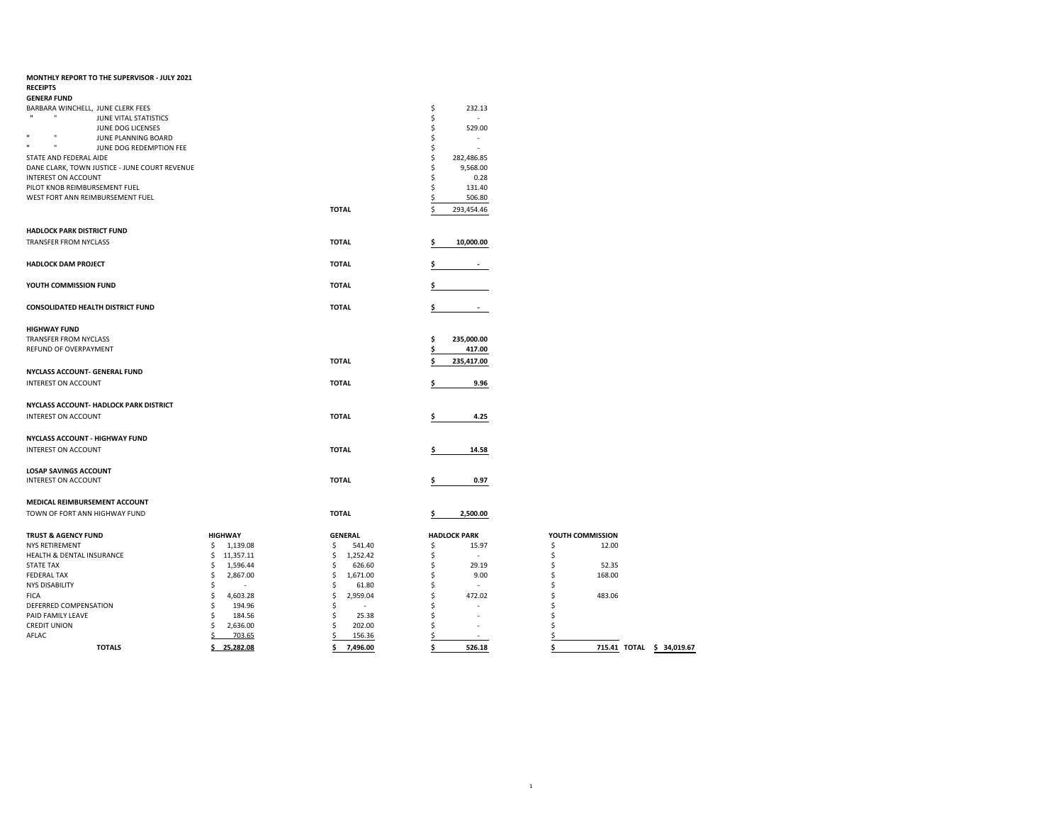| MONTHLY REPORT TO THE SUPERVISOR - JULY 2021<br><b>RECEIPTS</b>   |                 |                |                     |                                |
|-------------------------------------------------------------------|-----------------|----------------|---------------------|--------------------------------|
| <b>GENERA FUND</b>                                                |                 |                |                     |                                |
| BARBARA WINCHELL, JUNE CLERK FEES                                 |                 |                | \$<br>232.13        |                                |
| $\mathbf{u}$<br>JUNE VITAL STATISTICS                             |                 |                | \$                  |                                |
| JUNE DOG LICENSES                                                 |                 |                | 529.00<br>\$        |                                |
| $\mathbf{u}$<br>JUNE PLANNING BOARD                               |                 |                | \$<br>ä,            |                                |
| $\mathbf{u}$<br>- 11<br>JUNE DOG REDEMPTION FEE                   |                 |                | \$                  |                                |
| STATE AND FEDERAL AIDE                                            |                 |                | \$<br>282,486.85    |                                |
| DANE CLARK, TOWN JUSTICE - JUNE COURT REVENUE                     |                 |                | Ś<br>9,568.00       |                                |
| <b>INTEREST ON ACCOUNT</b>                                        |                 |                | Ś<br>0.28           |                                |
|                                                                   |                 |                | Ŝ.                  |                                |
| PILOT KNOB REIMBURSEMENT FUEL<br>WEST FORT ANN REIMBURSEMENT FUEL |                 |                | 131.40              |                                |
|                                                                   |                 |                | \$<br>506.80        |                                |
|                                                                   |                 | <b>TOTAL</b>   | \$<br>293,454.46    |                                |
| <b>HADLOCK PARK DISTRICT FUND</b>                                 |                 |                |                     |                                |
| TRANSFER FROM NYCLASS                                             |                 | <b>TOTAL</b>   | 10,000.00           |                                |
|                                                                   |                 |                |                     |                                |
| <b>HADLOCK DAM PROJECT</b>                                        |                 | <b>TOTAL</b>   |                     |                                |
|                                                                   |                 |                |                     |                                |
| YOUTH COMMISSION FUND                                             |                 | <b>TOTAL</b>   | \$                  |                                |
|                                                                   |                 |                |                     |                                |
| <b>CONSOLIDATED HEALTH DISTRICT FUND</b>                          |                 | <b>TOTAL</b>   | \$                  |                                |
|                                                                   |                 |                |                     |                                |
| <b>HIGHWAY FUND</b>                                               |                 |                |                     |                                |
| TRANSFER FROM NYCLASS                                             |                 |                | \$<br>235,000.00    |                                |
| REFUND OF OVERPAYMENT                                             |                 |                | \$<br>417.00        |                                |
|                                                                   |                 | <b>TOTAL</b>   | \$<br>235,417.00    |                                |
| NYCLASS ACCOUNT- GENERAL FUND                                     |                 |                |                     |                                |
| <b>INTEREST ON ACCOUNT</b>                                        |                 | <b>TOTAL</b>   | 9.96<br>\$          |                                |
|                                                                   |                 |                |                     |                                |
| NYCLASS ACCOUNT- HADLOCK PARK DISTRICT                            |                 |                |                     |                                |
|                                                                   |                 |                |                     |                                |
| <b>INTEREST ON ACCOUNT</b>                                        |                 | <b>TOTAL</b>   | 4.25<br>\$          |                                |
|                                                                   |                 |                |                     |                                |
| <b>NYCLASS ACCOUNT - HIGHWAY FUND</b>                             |                 |                |                     |                                |
| <b>INTEREST ON ACCOUNT</b>                                        |                 | <b>TOTAL</b>   | \$<br>14.58         |                                |
|                                                                   |                 |                |                     |                                |
| <b>LOSAP SAVINGS ACCOUNT</b>                                      |                 |                |                     |                                |
| <b>INTEREST ON ACCOUNT</b>                                        |                 | <b>TOTAL</b>   | 0.97<br>\$          |                                |
|                                                                   |                 |                |                     |                                |
| MEDICAL REIMBURSEMENT ACCOUNT                                     |                 |                |                     |                                |
| TOWN OF FORT ANN HIGHWAY FUND                                     |                 | <b>TOTAL</b>   | 2,500.00<br>\$      |                                |
|                                                                   |                 |                |                     |                                |
| <b>TRUST &amp; AGENCY FUND</b>                                    | <b>HIGHWAY</b>  | <b>GENERAL</b> | <b>HADLOCK PARK</b> | YOUTH COMMISSION               |
| NYS RETIREMENT                                                    | \$<br>1,139.08  | \$<br>541.40   | \$<br>15.97         | \$<br>12.00                    |
| HEALTH & DENTAL INSURANCE                                         | \$<br>11,357.11 | \$<br>1,252.42 | Ś<br>×.             | \$                             |
| <b>STATE TAX</b>                                                  | \$<br>1,596.44  | Ś<br>626.60    | 29.19<br>\$.        | \$<br>52.35                    |
| <b>FEDERAL TAX</b>                                                | \$<br>2,867.00  | \$<br>1,671.00 | \$<br>9.00          | \$<br>168.00                   |
| <b>NYS DISABILITY</b>                                             | \$              | \$<br>61.80    | Ś<br>ä,             | \$                             |
| <b>FICA</b>                                                       | \$<br>4,603.28  | \$<br>2,959.04 | Ś<br>472.02         | \$<br>483.06                   |
| DEFERRED COMPENSATION                                             | \$<br>194.96    | \$<br>$\sim$   | Ś<br>ä,             | \$                             |
| PAID FAMILY LEAVE                                                 | \$<br>184.56    | \$<br>25.38    | Ś                   | \$                             |
| <b>CREDIT UNION</b>                                               | \$<br>2,636.00  | \$<br>202.00   |                     | Ś                              |
| AFLAC                                                             | \$<br>703.65    | \$<br>156.36   | Ś                   | Ś                              |
|                                                                   |                 |                |                     |                                |
| <b>TOTALS</b>                                                     | \$25,282.08     | Ś<br>7,496.00  | \$<br>526.18        | Ś<br>715.41 TOTAL \$ 34,019.67 |

| ċ             | <b>715 41</b><br>TOTAL | ċ |
|---------------|------------------------|---|
|               |                        |   |
|               |                        |   |
| \$\$\$        |                        |   |
| \$            |                        |   |
|               | 483.06                 |   |
| \$<br>\$      |                        |   |
| $\frac{1}{5}$ | 168.00                 |   |
| \$            | 52.35                  |   |
| \$            |                        |   |
| \$            | 12.00                  |   |
|               |                        |   |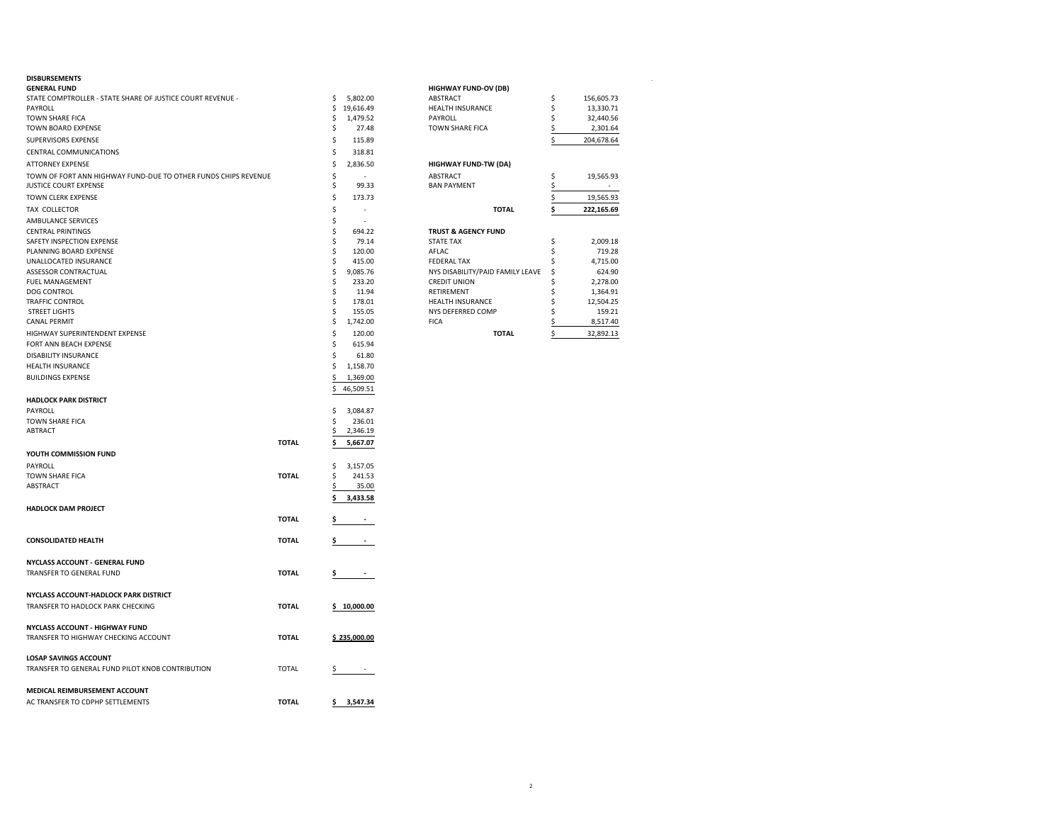| <b>GENERAL FUND</b>                                            |              |    |                          | <b>HIGHWAY FUND-OV (DB)</b>      |              |    |            |
|----------------------------------------------------------------|--------------|----|--------------------------|----------------------------------|--------------|----|------------|
| STATE COMPTROLLER - STATE SHARE OF JUSTICE COURT REVENUE -     |              | \$ | 5,802.00                 | ABSTRACT                         |              | \$ | 156,605.73 |
| PAYROLL                                                        |              | \$ | 19,616.49                | <b>HEALTH INSURANCE</b>          |              | \$ | 13,330.71  |
| <b>TOWN SHARE FICA</b>                                         |              | \$ | 1,479.52                 | PAYROLL                          |              | \$ | 32,440.56  |
| TOWN BOARD EXPENSE                                             |              | \$ | 27.48                    | <b>TOWN SHARE FICA</b>           |              | \$ | 2,301.64   |
| SUPERVISORS EXPENSE                                            |              | \$ | 115.89                   |                                  |              | \$ | 204,678.64 |
| CENTRAL COMMUNICATIONS                                         |              | \$ | 318.81                   |                                  |              |    |            |
| <b>ATTORNEY EXPENSE</b>                                        |              | \$ | 2,836.50                 | <b>HIGHWAY FUND-TW (DA)</b>      |              |    |            |
| TOWN OF FORT ANN HIGHWAY FUND-DUE TO OTHER FUNDS CHIPS REVENUE |              | \$ |                          | ABSTRACT                         |              | \$ | 19,565.93  |
| <b>JUSTICE COURT EXPENSE</b>                                   |              | \$ | 99.33                    | <b>BAN PAYMENT</b>               |              | \$ | $\sim$     |
| <b>TOWN CLERK EXPENSE</b>                                      |              | \$ | 173.73                   |                                  |              | \$ | 19,565.93  |
|                                                                |              | \$ |                          |                                  | <b>TOTAL</b> |    |            |
| TAX COLLECTOR                                                  |              |    |                          |                                  |              | \$ | 222,165.69 |
| AMBULANCE SERVICES                                             |              | \$ |                          |                                  |              |    |            |
| <b>CENTRAL PRINTINGS</b>                                       |              | \$ | 694.22                   | <b>TRUST &amp; AGENCY FUND</b>   |              |    |            |
| SAFETY INSPECTION EXPENSE                                      |              | \$ | 79.14                    | <b>STATE TAX</b>                 |              | \$ | 2,009.18   |
| PLANNING BOARD EXPENSE                                         |              | \$ | 120.00                   | AFLAC                            |              | \$ | 719.28     |
| UNALLOCATED INSURANCE                                          |              | \$ | 415.00                   | <b>FEDERAL TAX</b>               |              | \$ | 4,715.00   |
| ASSESSOR CONTRACTUAL                                           |              | \$ | 9,085.76                 | NYS DISABILITY/PAID FAMILY LEAVE |              | \$ | 624.90     |
| <b>FUEL MANAGEMENT</b>                                         |              | \$ | 233.20                   | <b>CREDIT UNION</b>              |              | \$ | 2,278.00   |
| <b>DOG CONTROL</b>                                             |              | \$ | 11.94                    | RETIREMENT                       |              | Ś  | 1,364.91   |
| <b>TRAFFIC CONTROL</b>                                         |              | \$ | 178.01                   | <b>HEALTH INSURANCE</b>          |              | \$ | 12,504.25  |
| <b>STREET LIGHTS</b>                                           |              | \$ | 155.05                   | NYS DEFERRED COMP                |              | \$ | 159.21     |
| <b>CANAL PERMIT</b>                                            |              | \$ | 1,742.00                 | <b>FICA</b>                      |              | \$ | 8,517.40   |
| HIGHWAY SUPERINTENDENT EXPENSE                                 |              | \$ | 120.00                   |                                  | <b>TOTAL</b> | \$ | 32,892.13  |
| FORT ANN BEACH EXPENSE                                         |              | \$ | 615.94                   |                                  |              |    |            |
| DISABILITY INSURANCE                                           |              | \$ | 61.80                    |                                  |              |    |            |
| HEALTH INSURANCE                                               |              | \$ | 1,158.70                 |                                  |              |    |            |
| <b>BUILDINGS EXPENSE</b>                                       |              | \$ | 1,369.00                 |                                  |              |    |            |
|                                                                |              | \$ | 46,509.51                |                                  |              |    |            |
| <b>HADLOCK PARK DISTRICT</b>                                   |              |    |                          |                                  |              |    |            |
|                                                                |              |    |                          |                                  |              |    |            |
| PAYROLL                                                        |              | \$ | 3,084.87                 |                                  |              |    |            |
| <b>TOWN SHARE FICA</b><br><b>ABTRACT</b>                       |              | \$ | 236.01                   |                                  |              |    |            |
|                                                                |              | \$ | 2,346.19                 |                                  |              |    |            |
|                                                                | <b>TOTAL</b> | \$ | 5,667.07                 |                                  |              |    |            |
| YOUTH COMMISSION FUND                                          |              |    |                          |                                  |              |    |            |
| PAYROLL                                                        |              | \$ | 3,157.05                 |                                  |              |    |            |
| <b>TOWN SHARE FICA</b>                                         | <b>TOTAL</b> | \$ | 241.53                   |                                  |              |    |            |
| <b>ABSTRACT</b>                                                |              | \$ | 35.00                    |                                  |              |    |            |
|                                                                |              | Ś  | 3,433.58                 |                                  |              |    |            |
| <b>HADLOCK DAM PROJECT</b>                                     |              |    |                          |                                  |              |    |            |
|                                                                | <b>TOTAL</b> | \$ | $\sim$                   |                                  |              |    |            |
|                                                                |              |    |                          |                                  |              |    |            |
| <b>CONSOLIDATED HEALTH</b>                                     | <b>TOTAL</b> | \$ | $\overline{\phantom{a}}$ |                                  |              |    |            |
|                                                                |              |    |                          |                                  |              |    |            |
| NYCLASS ACCOUNT - GENERAL FUND                                 |              |    |                          |                                  |              |    |            |
|                                                                |              |    |                          |                                  |              |    |            |
| TRANSFER TO GENERAL FUND                                       | <b>TOTAL</b> | \$ |                          |                                  |              |    |            |
|                                                                |              |    |                          |                                  |              |    |            |
| NYCLASS ACCOUNT-HADLOCK PARK DISTRICT                          |              |    |                          |                                  |              |    |            |
| TRANSFER TO HADLOCK PARK CHECKING                              | <b>TOTAL</b> |    | \$10,000.00              |                                  |              |    |            |
|                                                                |              |    |                          |                                  |              |    |            |
| NYCLASS ACCOUNT - HIGHWAY FUND                                 |              |    |                          |                                  |              |    |            |
| TRANSFER TO HIGHWAY CHECKING ACCOUNT                           | <b>TOTAL</b> |    | \$235,000.00             |                                  |              |    |            |
|                                                                |              |    |                          |                                  |              |    |            |
| <b>LOSAP SAVINGS ACCOUNT</b>                                   |              |    |                          |                                  |              |    |            |
| TRANSFER TO GENERAL FUND PILOT KNOB CONTRIBUTION               | <b>TOTAL</b> | \$ | $\sim$                   |                                  |              |    |            |
|                                                                |              |    |                          |                                  |              |    |            |
| MEDICAL REIMBURSEMENT ACCOUNT                                  |              |    |                          |                                  |              |    |            |
| AC TRANSFER TO CDPHP SETTLEMENTS                               | <b>TOTAL</b> | Ş  | 3,547.34                 |                                  |              |    |            |
|                                                                |              |    |                          |                                  |              |    |            |

| <b>DISBURSEMENTS</b>                                           |           |                                  |            |
|----------------------------------------------------------------|-----------|----------------------------------|------------|
| <b>GENERAL FUND</b>                                            |           | <b>HIGHWAY FUND-OV (DB)</b>      |            |
| STATE COMPTROLLER - STATE SHARE OF JUSTICE COURT REVENUE -     | 5,802.00  | <b>ABSTRACT</b>                  | 156,605.73 |
| PAYROLL                                                        | 19,616.49 | <b>HEALTH INSURANCE</b>          | 13,330.71  |
| <b>TOWN SHARE FICA</b>                                         | 1.479.52  | PAYROLL                          | 32,440.56  |
| <b>TOWN BOARD EXPENSE</b>                                      | 27.48     | <b>TOWN SHARE FICA</b>           | 2,301.64   |
| SUPERVISORS EXPENSE                                            | 115.89    |                                  | 204,678.64 |
| CENTRAL COMMUNICATIONS                                         | 318.81    |                                  |            |
| <b>ATTORNEY EXPENSE</b>                                        | 2,836.50  | <b>HIGHWAY FUND-TW (DA)</b>      |            |
| TOWN OF FORT ANN HIGHWAY FUND-DUE TO OTHER FUNDS CHIPS REVENUE |           | <b>ABSTRACT</b>                  | 19,565.93  |
| <b>IUSTICE COURT EXPENSE</b>                                   | 99.33     | <b>BAN PAYMENT</b>               |            |
| TOWN CLERK EXPENSE                                             | 173.73    |                                  | 19,565.93  |
| TAX COLLECTOR                                                  |           | <b>TOTAL</b>                     | 222,165.69 |
| AMBULANCE SERVICES                                             |           |                                  |            |
| <b>CENTRAL PRINTINGS</b>                                       | 694.22    | <b>TRUST &amp; AGENCY FUND</b>   |            |
| <b>SAFETY INSPECTION EXPENSE</b>                               | 79.14     | <b>STATE TAX</b>                 | 2,009.18   |
| PLANNING BOARD EXPENSE                                         | 120.00    | AFLAC                            | 719.28     |
| UNALLOCATED INSURANCE                                          | 415.00    | <b>FEDERAL TAX</b>               | 4,715.00   |
| <b>ASSESSOR CONTRACTUAL</b>                                    | 9,085.76  | NYS DISABILITY/PAID FAMILY LEAVE | 624.90     |
| <b>FUEL MANAGEMENT</b>                                         | 233.20    | <b>CREDIT UNION</b>              | 2,278.00   |
| <b>DOG CONTROL</b>                                             | 11.94     | RETIREMENT                       | 1,364.91   |
| <b>TRAFFIC CONTROL</b>                                         | 178.01    | <b>HEALTH INSURANCE</b>          | 12,504.25  |
| <b>STREET LIGHTS</b>                                           | 155.05    | NYS DEFERRED COMP                | 159.21     |
| <b>CANAL PERMIT</b>                                            | 1,742.00  | <b>FICA</b>                      | 8,517.40   |
| HIGHWAY SUPERINTENDENT EXPENSE                                 | 120.00    | <b>TOTAL</b>                     | 32,892.13  |
|                                                                |           |                                  |            |